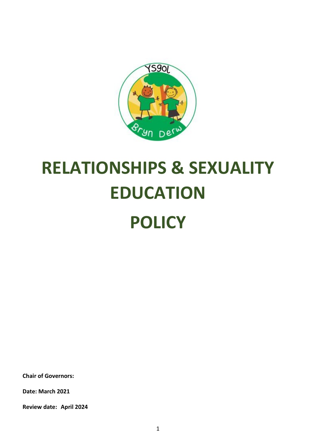

# **RELATIONSHIPS & SEXUALITY EDUCATION POLICY**

**Chair of Governors:**

**Date: March 2021**

**Review date: April 2024**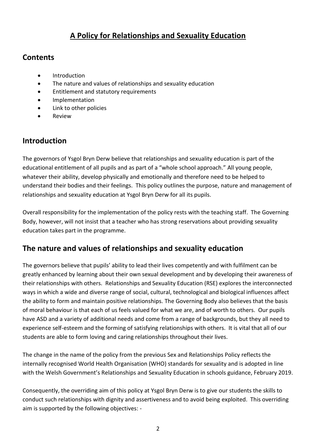## **A Policy for Relationships and Sexuality Education**

#### **Contents**

- Introduction
- The nature and values of relationships and sexuality education
- Entitlement and statutory requirements
- **•** Implementation
- Link to other policies
- Review

## **Introduction**

The governors of Ysgol Bryn Derw believe that relationships and sexuality education is part of the educational entitlement of all pupils and as part of a "whole school approach." All young people, whatever their ability, develop physically and emotionally and therefore need to be helped to understand their bodies and their feelings. This policy outlines the purpose, nature and management of relationships and sexuality education at Ysgol Bryn Derw for all its pupils.

Overall responsibility for the implementation of the policy rests with the teaching staff. The Governing Body, however, will not insist that a teacher who has strong reservations about providing sexuality education takes part in the programme.

### **The nature and values of relationships and sexuality education**

The governors believe that pupils' ability to lead their lives competently and with fulfilment can be greatly enhanced by learning about their own sexual development and by developing their awareness of their relationships with others. Relationships and Sexuality Education (RSE) explores the interconnected ways in which a wide and diverse range of social, cultural, technological and biological influences affect the ability to form and maintain positive relationships. The Governing Body also believes that the basis of moral behaviour is that each of us feels valued for what we are, and of worth to others. Our pupils have ASD and a variety of additional needs and come from a range of backgrounds, but they all need to experience self-esteem and the forming of satisfying relationships with others. It is vital that all of our students are able to form loving and caring relationships throughout their lives.

The change in the name of the policy from the previous Sex and Relationships Policy reflects the internally recognised World Health Organisation (WHO) standards for sexuality and is adopted in line with the Welsh Government's Relationships and Sexuality Education in schools guidance, February 2019.

Consequently, the overriding aim of this policy at Ysgol Bryn Derw is to give our students the skills to conduct such relationships with dignity and assertiveness and to avoid being exploited. This overriding aim is supported by the following objectives: -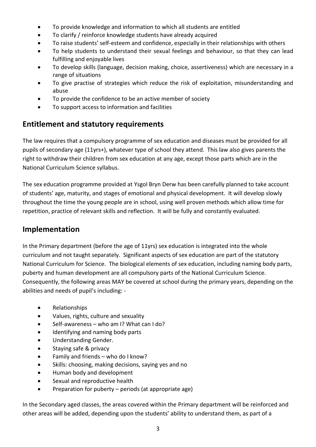- To provide knowledge and information to which all students are entitled
- To clarify / reinforce knowledge students have already acquired
- To raise students' self-esteem and confidence, especially in their relationships with others
- To help students to understand their sexual feelings and behaviour, so that they can lead fulfilling and enjoyable lives
- To develop skills (language, decision making, choice, assertiveness) which are necessary in a range of situations
- To give practise of strategies which reduce the risk of exploitation, misunderstanding and abuse
- To provide the confidence to be an active member of society
- To support access to information and facilities

#### **Entitlement and statutory requirements**

The law requires that a compulsory programme of sex education and diseases must be provided for all pupils of secondary age (11yrs+), whatever type of school they attend. This law also gives parents the right to withdraw their children from sex education at any age, except those parts which are in the National Curriculum Science syllabus.

The sex education programme provided at Ysgol Bryn Derw has been carefully planned to take account of students' age, maturity, and stages of emotional and physical development. It will develop slowly throughout the time the young people are in school, using well proven methods which allow time for repetition, practice of relevant skills and reflection. It will be fully and constantly evaluated.

### **Implementation**

In the Primary department (before the age of 11yrs) sex education is integrated into the whole curriculum and not taught separately. Significant aspects of sex education are part of the statutory National Curriculum for Science. The biological elements of sex education, including naming body parts, puberty and human development are all compulsory parts of the National Curriculum Science. Consequently, the following areas MAY be covered at school during the primary years, depending on the abilities and needs of pupil's including: -

- Relationships
- Values, rights, culture and sexuality
- Self-awareness who am I? What can I do?
- Identifying and naming body parts
- Understanding Gender.
- Staying safe & privacy
- Family and friends who do I know?
- Skills: choosing, making decisions, saying yes and no
- Human body and development
- Sexual and reproductive health
- $\bullet$  Preparation for puberty periods (at appropriate age)

In the Secondary aged classes, the areas covered within the Primary department will be reinforced and other areas will be added, depending upon the students' ability to understand them, as part of a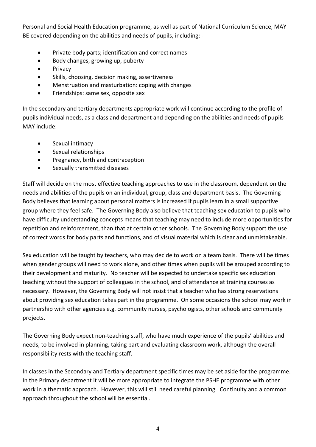Personal and Social Health Education programme, as well as part of National Curriculum Science, MAY BE covered depending on the abilities and needs of pupils, including: -

- Private body parts; identification and correct names
- Body changes, growing up, puberty
- Privacy
- Skills, choosing, decision making, assertiveness
- Menstruation and masturbation: coping with changes
- Friendships: same sex, opposite sex

In the secondary and tertiary departments appropriate work will continue according to the profile of pupils individual needs, as a class and department and depending on the abilities and needs of pupils MAY include: -

- **•** Sexual intimacy
- Sexual relationships
- Pregnancy, birth and contraception
- Sexually transmitted diseases

Staff will decide on the most effective teaching approaches to use in the classroom, dependent on the needs and abilities of the pupils on an individual, group, class and department basis. The Governing Body believes that learning about personal matters is increased if pupils learn in a small supportive group where they feel safe. The Governing Body also believe that teaching sex education to pupils who have difficulty understanding concepts means that teaching may need to include more opportunities for repetition and reinforcement, than that at certain other schools. The Governing Body support the use of correct words for body parts and functions, and of visual material which is clear and unmistakeable.

Sex education will be taught by teachers, who may decide to work on a team basis. There will be times when gender groups will need to work alone, and other times when pupils will be grouped according to their development and maturity. No teacher will be expected to undertake specific sex education teaching without the support of colleagues in the school, and of attendance at training courses as necessary. However, the Governing Body will not insist that a teacher who has strong reservations about providing sex education takes part in the programme. On some occasions the school may work in partnership with other agencies e.g. community nurses, psychologists, other schools and community projects.

The Governing Body expect non-teaching staff, who have much experience of the pupils' abilities and needs, to be involved in planning, taking part and evaluating classroom work, although the overall responsibility rests with the teaching staff.

In classes in the Secondary and Tertiary department specific times may be set aside for the programme. In the Primary department it will be more appropriate to integrate the PSHE programme with other work in a thematic approach. However, this will still need careful planning. Continuity and a common approach throughout the school will be essential.